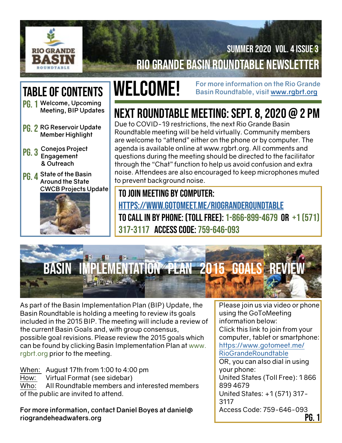

## Rio Grande Basin Roundtable Newsletter Summer 2020 Vol. 4 Issue 3

# Table of Contents

- Pg. 1 **Welcome, Upcoming Meeting, BIP Updates**
- Pg. 2 **RG Reservoir Update Member Highlight**
- Pg. 3 **Conejos Project Engagement & Outreach**
- Pg. 4 **State of the Basin Around the State CWCB Projects Update**



**WELCOME!** For more information on the Rio Grande **WELCOME!** Basin Roundtable, visit www.rgbrt.org **Basin Roundtable, visit [www.rgbrt.org](http://www.rgbrt.org)**

# Next Roundtable Meeting: Sept. 8, 2020 @ 2 PM

Due to COVID-19 restrictions, the next Rio Grande Basin Roundtable meeting will be held virtually. Community members are welcome to "attend" either on the phone or by computer. The agenda is available online at www.rgbrt.org. All comments and questions during the meeting should be directed to the facilitator through the "Chat" function to help us avoid confusion and extra noise. Attendees are also encouraged to keep microphones muted to prevent background noise.

To join meeting by computer:

<https://www.gotomeet.me/RioGrandeRoundtable> To call in by phone: (Toll Free): 1-866-899-4679 or +1 (571) 317-3117 Access Code: 759-646-093



As part of the Basin Implementation Plan (BIP) Update, the Basin Roundtable is holding a meeting to review its goals included in the 2015 BIP. The meeting will include a review of the current Basin Goals and, with group consensus, possible goal revisions. Please review the 2015 goals which can be found by clicking Basin Implementation Plan at www. rgbrt.org prior to the meeting.

When: August 17th from 1:00 to 4:00 pm

How: Virtual Format (see sidebar)

Who: All Roundtable members and interested members of the public are invited to attend.

**For more information, contact Daniel Boyes at daniel@ riograndeheadwaters.org**

Please join us via video or phone using the GoToMeeting information below: Click this link to join from your computer, tablet or smartphone: [https://www.gotomeet.me/](https://www.gotomeet.me/RioGrandeRoundtable) [RioGrandeRoundtable](https://www.gotomeet.me/RioGrandeRoundtable) OR, you can also dial in using your phone: United States (Toll Free): 1 866 899 4679 United States: +1 (571) 317- 3117

Access Code: 759-646-093

Pg. 1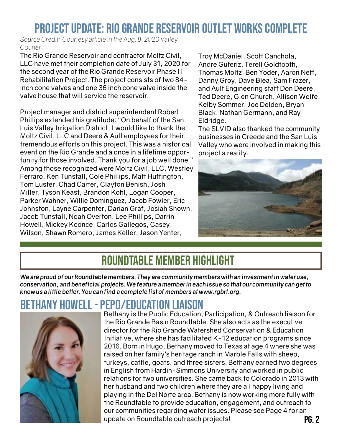## Project Update: Rio Grande Reservoir Outlet Works Complete

*Source Credit: Courtesy article in the Aug. 8, 2020 Valley Courier*

The Rio Grande Reservoir and contractor Moltz Civil, LLC have met their completion date of July 31, 2020 for the second year of the Rio Grande Reservoir Phase II Rehabilitation Project. The project consists of two 84 inch cone valves and one 36 inch cone valve inside the valve house that will service the reservoir.

Project manager and district superintendent Robert Phillips extended his gratitude: "On behalf of the San Luis Valley Irrigation District, I would like to thank the Moltz Civil, LLC and Deere & Ault employees for their tremendous efforts on this project. This was a historical event on the Rio Grande and a once in a lifetime opportunity for those involved. Thank you for a job well done." Among those recognized were Moltz Civil, LLC, Westley Ferraro, Ken Tunstall, Cole Phillips, Matt Huffington, Tom Luster, Chad Carter, Clayton Benish, Josh Miller, Tyson Keast, Brandon Kohl, Logan Cooper, Parker Wahner, Willie Dominguez, Jacob Fowler, Eric Johnston, Layne Carpenter, Darian Graf, Josiah Shown, Jacob Tunstall, Noah Overton, Lee Phillips, Darrin Howell, Mickey Koonce, Carlos Gallegos, Casey Wilson, Shawn Romero, James Keller, Jason Yenter,

Troy McDaniel, Scott Canchola, Andre Guteriz, Terell Goldtooth, Thomas Moltz, Ben Yoder, Aaron Neff, Danny Groy, Dave Blea, Sam Frazer, and Ault Engineering staff Don Deere, Ted Deere, Glen Church, Allison Wolfe, Kelby Sommer, Joe Delden, Bryan Black, Nathan Germann, and Ray Eldridge.

The SLVID also thanked the community businesses in Creede and the San Luis Valley who were involved in making this project a reality.



## Roundtable Member Highlight

*We are proud of our Roundtable members. They are community members with an investment in water use, conservation, and beneficial projects. We feature a member in each issue so that our community can get to know us a little better. You can find a complete list of members at www.rgbrt.org.* 

## Bethany Howell - PEPO/Education Liaison



Pg. 2 Bethany is the Public Education, Participation, & Outreach liaison for the Rio Grande Basin Roundtable. She also acts as the executive director for the Rio Grande Watershed Conservation & Education Initiative, where she has facilitated K-12 education programs since 2016. Born in Hugo, Bethany moved to Texas at age 4 where she was raised on her family's heritage ranch in Marble Falls with sheep, turkeys, cattle, goats, and three sisters. Bethany earned two degrees in English from Hardin-Simmons University and worked in public relations for two universities. She came back to Colorado in 2013 with her husband and two children where they are all happy living and playing in the Del Norte area. Bethany is now working more fully with the Roundtable to provide education, engagement, and outreach to our communities regarding water issues. Please see Page 4 for an update on Roundtable outreach projects!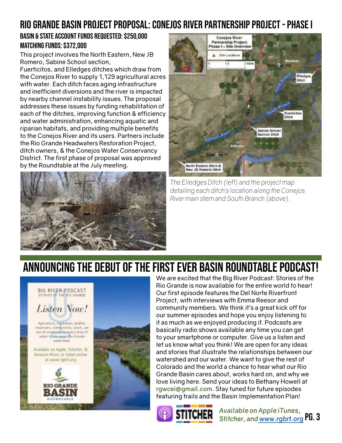## Rio Grande Basin Project Proposal: Conejos River Partnership Project - Phase I

#### Basin & State Account Funds Requested: \$250,000 Matching Funds: \$372,000

This project involves the North Eastern, New JB Romero, Sabine School section,

Fuerticitos, and Elledges ditches which draw from the Conejos River to supply 1,129 agricultural acres with water. Each ditch faces aging infrastructure and inefficient diversions and the river is impacted by nearby channel instability issues. The proposal addresses these issues by funding rehabilitation of each of the ditches, improving function & efficiency and water administration, enhancing aquatic and riparian habitats, and providing multiple benefits to the Conejos River and its users. Partners include the Rio Grande Headwaters Restoration Project, ditch owners, & the Conejos Water Conservancy District. The first phase of proposal was approved by the Roundtable at the July meeting.





*The Elledges Ditch (left) and the project map detailing each ditch's location along the Conejos River main stem and South Branch (above).*

## Announcing the debut of the first ever Basin Roundtable Podcast!



We are excited that the Big River Podcast: Stories of the Rio Grande is now available for the entire world to hear! Our first episode features the Del Norte Riverfront Project, with interviews with Emma Reesor and community members. We think it's a great kick off for our summer episodes and hope you enjoy listening to it as much as we enjoyed producing it. Podcasts are basically radio shows available any time you can get to your smartphone or computer. Give us a listen and let us know what you think! We are open for any ideas and stories that illustrate the relationships between our watershed and our water. We want to give the rest of Colorado and the world a chance to hear what our Rio Grande Basin cares about, works hard on, and why we love living here. Send your ideas to Bethany Howell at **rgwcei@gmail.com**. Stay tuned for future episodes featuring trails and the Basin Implementation Plan!